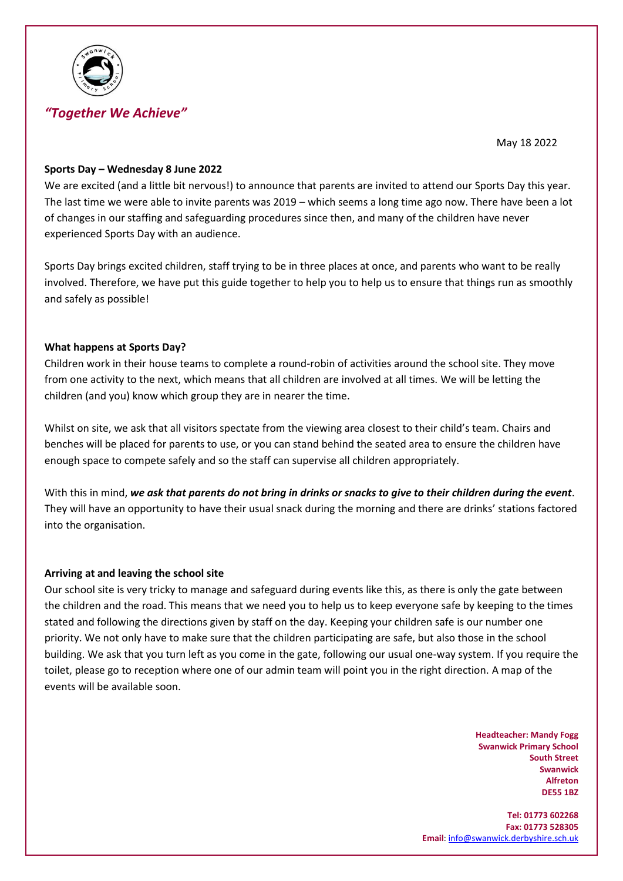

# *"Together We Achieve"*

May 18 2022

#### **Sports Day – Wednesday 8 June 2022**

We are excited (and a little bit nervous!) to announce that parents are invited to attend our Sports Day this year. The last time we were able to invite parents was 2019 – which seems a long time ago now. There have been a lot of changes in our staffing and safeguarding procedures since then, and many of the children have never experienced Sports Day with an audience.

Sports Day brings excited children, staff trying to be in three places at once, and parents who want to be really involved. Therefore, we have put this guide together to help you to help us to ensure that things run as smoothly and safely as possible!

### **What happens at Sports Day?**

Children work in their house teams to complete a round-robin of activities around the school site. They move from one activity to the next, which means that all children are involved at all times. We will be letting the children (and you) know which group they are in nearer the time.

Whilst on site, we ask that all visitors spectate from the viewing area closest to their child's team. Chairs and benches will be placed for parents to use, or you can stand behind the seated area to ensure the children have enough space to compete safely and so the staff can supervise all children appropriately.

With this in mind, *we ask that parents do not bring in drinks or snacks to give to their children during the event*. They will have an opportunity to have their usual snack during the morning and there are drinks' stations factored into the organisation.

#### **Arriving at and leaving the school site**

Our school site is very tricky to manage and safeguard during events like this, as there is only the gate between the children and the road. This means that we need you to help us to keep everyone safe by keeping to the times stated and following the directions given by staff on the day. Keeping your children safe is our number one priority. We not only have to make sure that the children participating are safe, but also those in the school building. We ask that you turn left as you come in the gate, following our usual one-way system. If you require the toilet, please go to reception where one of our admin team will point you in the right direction. A map of the events will be available soon.

> **Headteacher: Mandy Fogg Swanwick Primary School South Street Swanwick Alfreton DE55 1BZ**

**Tel: 01773 602268 Fax: 01773 528305 Email**[: info@swanwick.derbyshire.sch.uk](mailto:info@swanwick.derbyshire.sch.uk)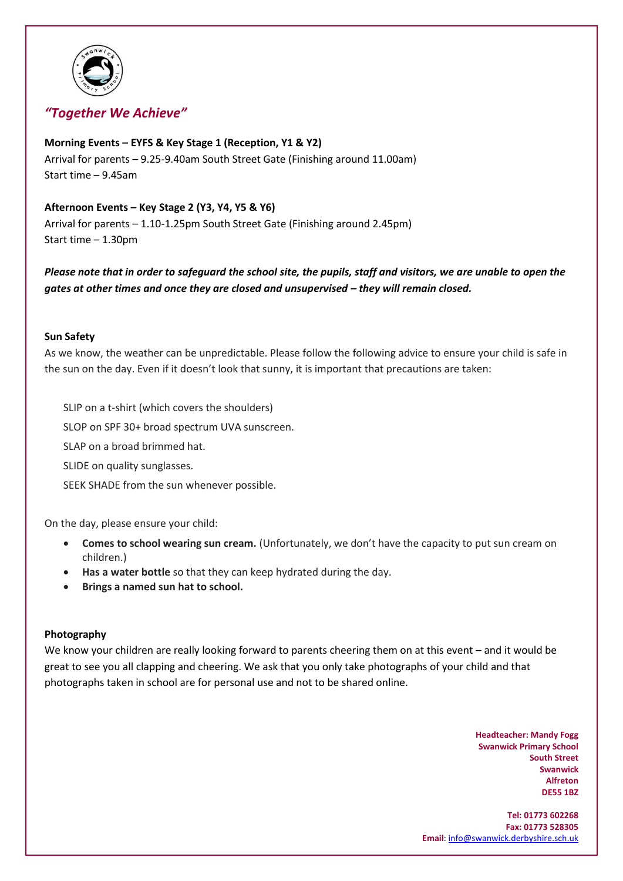

# *"Together We Achieve"*

## **Morning Events – EYFS & Key Stage 1 (Reception, Y1 & Y2)**

Arrival for parents – 9.25-9.40am South Street Gate (Finishing around 11.00am) Start time – 9.45am

## **Afternoon Events – Key Stage 2 (Y3, Y4, Y5 & Y6)**

Arrival for parents – 1.10-1.25pm South Street Gate (Finishing around 2.45pm) Start time – 1.30pm

*Please note that in order to safeguard the school site, the pupils, staff and visitors, we are unable to open the gates at other times and once they are closed and unsupervised – they will remain closed.* 

### **Sun Safety**

As we know, the weather can be unpredictable. Please follow the following advice to ensure your child is safe in the sun on the day. Even if it doesn't look that sunny, it is important that precautions are taken:

SLIP on a t-shirt (which covers the shoulders) SLOP on SPF 30+ broad spectrum UVA sunscreen. SLAP on a broad brimmed hat. SLIDE on quality sunglasses. SEEK SHADE from the sun whenever possible.

On the day, please ensure your child:

- **Comes to school wearing sun cream.** (Unfortunately, we don't have the capacity to put sun cream on children.)
- **Has a water bottle** so that they can keep hydrated during the day.
- **Brings a named sun hat to school.**

### **Photography**

We know your children are really looking forward to parents cheering them on at this event – and it would be great to see you all clapping and cheering. We ask that you only take photographs of your child and that photographs taken in school are for personal use and not to be shared online.

> **Headteacher: Mandy Fogg Swanwick Primary School South Street Swanwick Alfreton DE55 1BZ**

**Tel: 01773 602268 Fax: 01773 528305 Email**[: info@swanwick.derbyshire.sch.uk](mailto:info@swanwick.derbyshire.sch.uk)